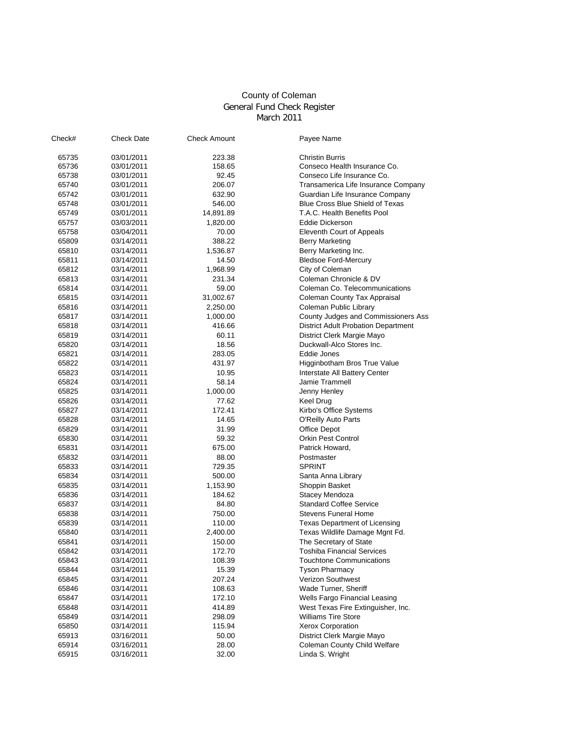## County of Coleman General Fund Check Register March 2011

| Check# | <b>Check Date</b>        | <b>Check Amount</b> | Payee Name                                       |
|--------|--------------------------|---------------------|--------------------------------------------------|
| 65735  | 03/01/2011               | 223.38              | <b>Christin Burris</b>                           |
| 65736  | 03/01/2011               | 158.65              | Conseco Health Insurance Co.                     |
| 65738  | 03/01/2011               | 92.45               | Conseco Life Insurance Co.                       |
| 65740  | 03/01/2011               | 206.07              | Transamerica Life Insurance Company              |
| 65742  | 03/01/2011               | 632.90              | Guardian Life Insurance Company                  |
| 65748  | 03/01/2011               | 546.00              | <b>Blue Cross Blue Shield of Texas</b>           |
| 65749  | 03/01/2011               | 14,891.89           | T.A.C. Health Benefits Pool                      |
| 65757  | 03/03/2011               | 1,820.00            | <b>Eddie Dickerson</b>                           |
| 65758  | 03/04/2011               | 70.00               | Eleventh Court of Appeals                        |
| 65809  | 03/14/2011               | 388.22              | <b>Berry Marketing</b>                           |
| 65810  | 03/14/2011               | 1,536.87            | Berry Marketing Inc.                             |
| 65811  | 03/14/2011               | 14.50               | <b>Bledsoe Ford-Mercury</b>                      |
| 65812  | 03/14/2011               | 1,968.99            | City of Coleman                                  |
| 65813  | 03/14/2011               | 231.34              | Coleman Chronicle & DV                           |
| 65814  | 03/14/2011               | 59.00               | Coleman Co. Telecommunications                   |
| 65815  | 03/14/2011               | 31,002.67           | Coleman County Tax Appraisal                     |
| 65816  | 03/14/2011               | 2,250.00            | Coleman Public Library                           |
| 65817  | 03/14/2011               | 1,000.00            | County Judges and Commissioners Ass              |
| 65818  | 03/14/2011               | 416.66              | <b>District Adult Probation Department</b>       |
| 65819  | 03/14/2011               | 60.11               | District Clerk Margie Mayo                       |
| 65820  | 03/14/2011               | 18.56               | Duckwall-Alco Stores Inc.                        |
| 65821  | 03/14/2011               | 283.05              | Eddie Jones                                      |
| 65822  | 03/14/2011               | 431.97              | Higginbotham Bros True Value                     |
| 65823  | 03/14/2011               | 10.95               | Interstate All Battery Center                    |
| 65824  | 03/14/2011               | 58.14               | Jamie Trammell                                   |
| 65825  | 03/14/2011               | 1,000.00            | Jenny Henley                                     |
| 65826  | 03/14/2011               | 77.62               | Keel Drug                                        |
| 65827  | 03/14/2011               | 172.41              | Kirbo's Office Systems                           |
| 65828  | 03/14/2011               | 14.65               | <b>O'Reilly Auto Parts</b>                       |
| 65829  | 03/14/2011               | 31.99               | Office Depot                                     |
| 65830  | 03/14/2011               | 59.32               | <b>Orkin Pest Control</b>                        |
| 65831  | 03/14/2011               | 675.00              | Patrick Howard,                                  |
| 65832  | 03/14/2011               | 88.00               | Postmaster                                       |
|        | 03/14/2011               |                     | <b>SPRINT</b>                                    |
| 65833  |                          | 729.35              |                                                  |
| 65834  | 03/14/2011               | 500.00              | Santa Anna Library                               |
| 65835  | 03/14/2011               | 1,153.90            | Shoppin Basket                                   |
| 65836  | 03/14/2011               | 184.62              | Stacey Mendoza<br><b>Standard Coffee Service</b> |
| 65837  | 03/14/2011<br>03/14/2011 | 84.80               | <b>Stevens Funeral Home</b>                      |
| 65838  |                          | 750.00              |                                                  |
| 65839  | 03/14/2011               | 110.00              | Texas Department of Licensing                    |
| 65840  | 03/14/2011               | 2,400.00            | Texas Wildlife Damage Mgnt Fd.                   |
| 65841  | 03/14/2011               | 150.00              | The Secretary of State                           |
| 65842  | 03/14/2011               | 172.70              | <b>Toshiba Financial Services</b>                |
| 65843  | 03/14/2011               | 108.39              | <b>Touchtone Communications</b>                  |
| 65844  | 03/14/2011               | 15.39               | <b>Tyson Pharmacy</b>                            |
| 65845  | 03/14/2011               | 207.24              | Verizon Southwest                                |
| 65846  | 03/14/2011               | 108.63              | Wade Turner, Sheriff                             |
| 65847  | 03/14/2011               | 172.10              | Wells Fargo Financial Leasing                    |
| 65848  | 03/14/2011               | 414.89              | West Texas Fire Extinguisher, Inc.               |
| 65849  | 03/14/2011               | 298.09              | <b>Williams Tire Store</b>                       |
| 65850  | 03/14/2011               | 115.94              | <b>Xerox Corporation</b>                         |
| 65913  | 03/16/2011               | 50.00               | District Clerk Margie Mayo                       |
| 65914  | 03/16/2011               | 28.00               | Coleman County Child Welfare                     |
| 65915  | 03/16/2011               | 32.00               | Linda S. Wright                                  |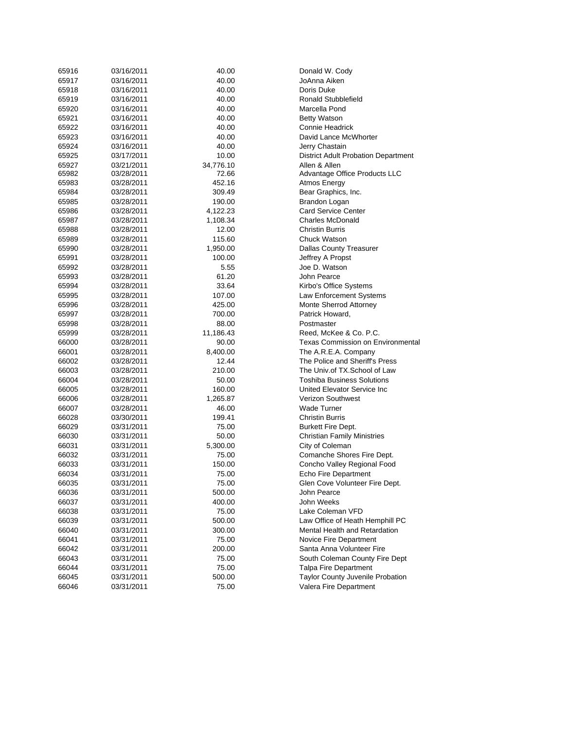| 65916          | 03/16/2011               | 40.00           | Donald W. Cody                                                 |
|----------------|--------------------------|-----------------|----------------------------------------------------------------|
| 65917          | 03/16/2011               | 40.00           | JoAnna Aiken                                                   |
| 65918          | 03/16/2011               | 40.00           | Doris Duke                                                     |
| 65919          | 03/16/2011               | 40.00           | Ronald Stubblefield                                            |
| 65920          | 03/16/2011               | 40.00           | Marcella Pond                                                  |
| 65921          | 03/16/2011               | 40.00           | <b>Betty Watson</b>                                            |
| 65922          | 03/16/2011               | 40.00           | <b>Connie Headrick</b>                                         |
| 65923          | 03/16/2011               | 40.00           | David Lance McWhorter                                          |
| 65924          | 03/16/2011               | 40.00           | Jerry Chastain                                                 |
| 65925          | 03/17/2011               | 10.00           | <b>District Adult Probation Department</b>                     |
| 65927          | 03/21/2011               | 34,776.10       | Allen & Allen                                                  |
| 65982          | 03/28/2011               | 72.66           | Advantage Office Products LLC                                  |
| 65983          | 03/28/2011               | 452.16          | Atmos Energy                                                   |
| 65984          | 03/28/2011               | 309.49          | Bear Graphics, Inc.                                            |
| 65985          | 03/28/2011               | 190.00          | Brandon Logan                                                  |
| 65986          | 03/28/2011               | 4,122.23        | <b>Card Service Center</b>                                     |
| 65987          | 03/28/2011               | 1,108.34        | <b>Charles McDonald</b>                                        |
| 65988          | 03/28/2011               | 12.00           | <b>Christin Burris</b>                                         |
| 65989          | 03/28/2011               | 115.60          | <b>Chuck Watson</b>                                            |
| 65990          | 03/28/2011               | 1,950.00        | <b>Dallas County Treasurer</b>                                 |
| 65991          | 03/28/2011               | 100.00          | Jeffrey A Propst                                               |
| 65992          | 03/28/2011               | 5.55            | Joe D. Watson                                                  |
| 65993          | 03/28/2011               | 61.20           | John Pearce                                                    |
| 65994          | 03/28/2011               | 33.64           | Kirbo's Office Systems                                         |
| 65995          | 03/28/2011               | 107.00          | Law Enforcement Systems                                        |
| 65996          | 03/28/2011               | 425.00          | Monte Sherrod Attorney                                         |
| 65997          | 03/28/2011               | 700.00          | Patrick Howard,                                                |
| 65998          | 03/28/2011               | 88.00           | Postmaster                                                     |
| 65999          | 03/28/2011               | 11,186.43       | Reed, McKee & Co. P.C.                                         |
| 66000          | 03/28/2011               | 90.00           | <b>Texas Commission on Environmental</b>                       |
| 66001          | 03/28/2011               | 8,400.00        | The A.R.E.A. Company                                           |
| 66002          | 03/28/2011               | 12.44           | The Police and Sheriff's Press                                 |
| 66003          | 03/28/2011               | 210.00          | The Univ.of TX.School of Law                                   |
| 66004          | 03/28/2011               | 50.00           | <b>Toshiba Business Solutions</b>                              |
| 66005          | 03/28/2011               | 160.00          | United Elevator Service Inc                                    |
| 66006          | 03/28/2011               | 1,265.87        | Verizon Southwest                                              |
| 66007          | 03/28/2011               | 46.00           | <b>Wade Turner</b>                                             |
| 66028          | 03/30/2011               | 199.41          | <b>Christin Burris</b>                                         |
| 66029          | 03/31/2011               | 75.00           | <b>Burkett Fire Dept.</b>                                      |
| 66030          | 03/31/2011               | 50.00           | <b>Christian Family Ministries</b>                             |
| 66031          | 03/31/2011               | 5,300.00        | City of Coleman                                                |
| 66032          | 03/31/2011               | 75.00           | Comanche Shores Fire Dept.                                     |
| 66033          | 03/31/2011               | 150.00          | Concho Valley Regional Food                                    |
| 66034          | 03/31/2011               | 75.00           | Echo Fire Department                                           |
| 66035          | 03/31/2011               | 75.00           | Glen Cove Volunteer Fire Dept.                                 |
| 66036          | 03/31/2011               | 500.00          | John Pearce                                                    |
| 66037          | 03/31/2011               | 400.00          | John Weeks                                                     |
| 66038          | 03/31/2011               | 75.00           | Lake Coleman VFD<br>Law Office of Heath Hemphill PC            |
| 66039          | 03/31/2011               | 500.00          |                                                                |
| 66040          | 03/31/2011               | 300.00          | Mental Health and Retardation                                  |
| 66041          | 03/31/2011               | 75.00           | Novice Fire Department<br>Santa Anna Volunteer Fire            |
| 66042          | 03/31/2011               | 200.00          |                                                                |
| 66043          | 03/31/2011               | 75.00           | South Coleman County Fire Dept<br><b>Talpa Fire Department</b> |
| 66044          | 03/31/2011               | 75.00           |                                                                |
|                |                          |                 |                                                                |
| 66045<br>66046 | 03/31/2011<br>03/31/2011 | 500.00<br>75.00 | Taylor County Juvenile Probation<br>Valera Fire Department     |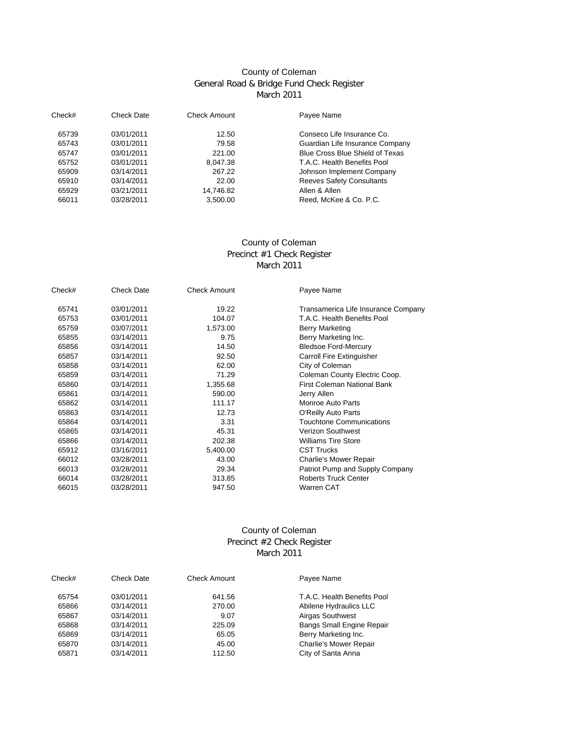# County of Coleman General Road & Bridge Fund Check Register March 2011

| Check# | Check Date | <b>Check Amount</b> | Payee Name                       |  |
|--------|------------|---------------------|----------------------------------|--|
| 65739  | 03/01/2011 | 12.50               | Conseco Life Insurance Co.       |  |
| 65743  | 03/01/2011 | 79.58               | Guardian Life Insurance Company  |  |
| 65747  | 03/01/2011 | 221.00              | Blue Cross Blue Shield of Texas  |  |
| 65752  | 03/01/2011 | 8.047.38            | T.A.C. Health Benefits Pool      |  |
| 65909  | 03/14/2011 | 267.22              | Johnson Implement Company        |  |
| 65910  | 03/14/2011 | 22.00               | <b>Reeves Safety Consultants</b> |  |
| 65929  | 03/21/2011 | 14.746.82           | Allen & Allen                    |  |
| 66011  | 03/28/2011 | 3.500.00            | Reed. McKee & Co. P.C.           |  |

#### March 2011 County of Coleman Precinct #1 Check Register

| Check# | Check Date | <b>Check Amount</b> | Payee Name                          |
|--------|------------|---------------------|-------------------------------------|
| 65741  | 03/01/2011 | 19.22               | Transamerica Life Insurance Company |
| 65753  | 03/01/2011 | 104.07              | T.A.C. Health Benefits Pool         |
| 65759  | 03/07/2011 | 1,573.00            | <b>Berry Marketing</b>              |
| 65855  | 03/14/2011 | 9.75                | Berry Marketing Inc.                |
| 65856  | 03/14/2011 | 14.50               | <b>Bledsoe Ford-Mercury</b>         |
| 65857  | 03/14/2011 | 92.50               | <b>Carroll Fire Extinguisher</b>    |
| 65858  | 03/14/2011 | 62.00               | City of Coleman                     |
| 65859  | 03/14/2011 | 71.29               | Coleman County Electric Coop.       |
| 65860  | 03/14/2011 | 1,355.68            | <b>First Coleman National Bank</b>  |
| 65861  | 03/14/2011 | 590.00              | Jerry Allen                         |
| 65862  | 03/14/2011 | 111.17              | <b>Monroe Auto Parts</b>            |
| 65863  | 03/14/2011 | 12.73               | O'Reilly Auto Parts                 |
| 65864  | 03/14/2011 | 3.31                | <b>Touchtone Communications</b>     |
| 65865  | 03/14/2011 | 45.31               | <b>Verizon Southwest</b>            |
| 65866  | 03/14/2011 | 202.38              | <b>Williams Tire Store</b>          |
| 65912  | 03/16/2011 | 5,400.00            | <b>CST Trucks</b>                   |
| 66012  | 03/28/2011 | 43.00               | <b>Charlie's Mower Repair</b>       |
| 66013  | 03/28/2011 | 29.34               | Patriot Pump and Supply Company     |
| 66014  | 03/28/2011 | 313.85              | <b>Roberts Truck Center</b>         |
| 66015  | 03/28/2011 | 947.50              | <b>Warren CAT</b>                   |

## County of Coleman Precinct #2 Check Register March 2011

| Check# | Check Date | Check Amount | Payee Name                       |
|--------|------------|--------------|----------------------------------|
| 65754  | 03/01/2011 | 641.56       | T.A.C. Health Benefits Pool      |
| 65866  | 03/14/2011 | 270.00       | Abilene Hydraulics LLC           |
| 65867  | 03/14/2011 | 9.07         | <b>Airgas Southwest</b>          |
| 65868  | 03/14/2011 | 225.09       | <b>Bangs Small Engine Repair</b> |
| 65869  | 03/14/2011 | 65.05        | Berry Marketing Inc.             |
| 65870  | 03/14/2011 | 45.00        | <b>Charlie's Mower Repair</b>    |
| 65871  | 03/14/2011 | 112.50       | City of Santa Anna               |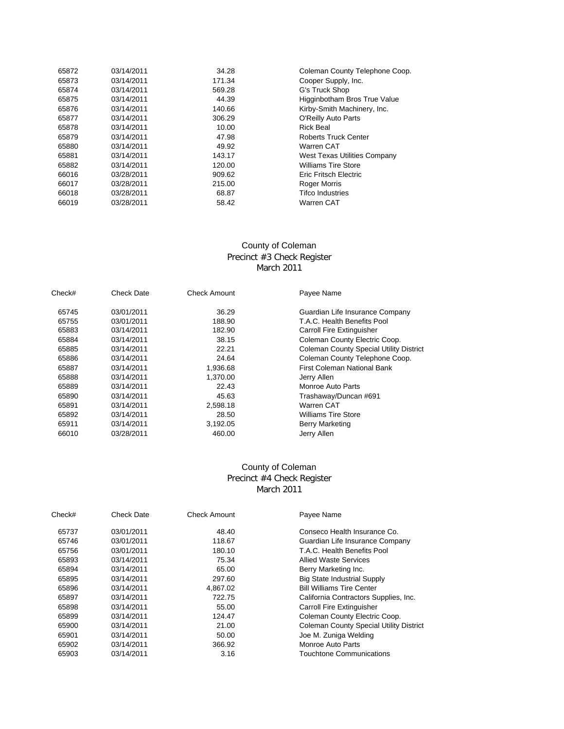| 65872 | 03/14/2011 | 34.28  | Coleman County Telephone Coop.      |
|-------|------------|--------|-------------------------------------|
| 65873 | 03/14/2011 | 171.34 | Cooper Supply, Inc.                 |
| 65874 | 03/14/2011 | 569.28 | G's Truck Shop                      |
| 65875 | 03/14/2011 | 44.39  | Higginbotham Bros True Value        |
| 65876 | 03/14/2011 | 140.66 | Kirby-Smith Machinery, Inc.         |
| 65877 | 03/14/2011 | 306.29 | O'Reilly Auto Parts                 |
| 65878 | 03/14/2011 | 10.00  | <b>Rick Beal</b>                    |
| 65879 | 03/14/2011 | 47.98  | <b>Roberts Truck Center</b>         |
| 65880 | 03/14/2011 | 49.92  | <b>Warren CAT</b>                   |
| 65881 | 03/14/2011 | 143.17 | <b>West Texas Utilities Company</b> |
| 65882 | 03/14/2011 | 120.00 | <b>Williams Tire Store</b>          |
| 66016 | 03/28/2011 | 909.62 | Eric Fritsch Electric               |
| 66017 | 03/28/2011 | 215.00 | Roger Morris                        |
| 66018 | 03/28/2011 | 68.87  | <b>Tifco Industries</b>             |
| 66019 | 03/28/2011 | 58.42  | <b>Warren CAT</b>                   |

# County of Coleman Precinct #3 Check Register March 2011

| Check# | <b>Check Date</b> | <b>Check Amount</b> | Payee Name                                     |
|--------|-------------------|---------------------|------------------------------------------------|
| 65745  | 03/01/2011        | 36.29               | Guardian Life Insurance Company                |
| 65755  | 03/01/2011        | 188.90              | T.A.C. Health Benefits Pool                    |
| 65883  | 03/14/2011        | 182.90              | Carroll Fire Extinguisher                      |
| 65884  | 03/14/2011        | 38.15               | Coleman County Electric Coop.                  |
| 65885  | 03/14/2011        | 22.21               | <b>Coleman County Special Utility District</b> |
| 65886  | 03/14/2011        | 24.64               | Coleman County Telephone Coop.                 |
| 65887  | 03/14/2011        | 1,936.68            | First Coleman National Bank                    |
| 65888  | 03/14/2011        | 1,370.00            | Jerry Allen                                    |
| 65889  | 03/14/2011        | 22.43               | Monroe Auto Parts                              |
| 65890  | 03/14/2011        | 45.63               | Trashaway/Duncan #691                          |
| 65891  | 03/14/2011        | 2,598.18            | Warren CAT                                     |
| 65892  | 03/14/2011        | 28.50               | <b>Williams Tire Store</b>                     |
| 65911  | 03/14/2011        | 3,192.05            | <b>Berry Marketing</b>                         |
| 66010  | 03/28/2011        | 460.00              | Jerry Allen                                    |

## Precinct #4 Check Register March 2011 County of Coleman

| Check# | Check Date | Check Amount | Payee Name                                     |
|--------|------------|--------------|------------------------------------------------|
| 65737  | 03/01/2011 | 48.40        | Conseco Health Insurance Co.                   |
| 65746  | 03/01/2011 | 118.67       | Guardian Life Insurance Company                |
| 65756  | 03/01/2011 | 180.10       | T.A.C. Health Benefits Pool                    |
| 65893  | 03/14/2011 | 75.34        | <b>Allied Waste Services</b>                   |
| 65894  | 03/14/2011 | 65.00        | Berry Marketing Inc.                           |
| 65895  | 03/14/2011 | 297.60       | <b>Big State Industrial Supply</b>             |
| 65896  | 03/14/2011 | 4,867.02     | <b>Bill Williams Tire Center</b>               |
| 65897  | 03/14/2011 | 722.75       | California Contractors Supplies, Inc.          |
| 65898  | 03/14/2011 | 55.00        | <b>Carroll Fire Extinguisher</b>               |
| 65899  | 03/14/2011 | 124.47       | Coleman County Electric Coop.                  |
| 65900  | 03/14/2011 | 21.00        | <b>Coleman County Special Utility District</b> |
| 65901  | 03/14/2011 | 50.00        | Joe M. Zuniga Welding                          |
| 65902  | 03/14/2011 | 366.92       | Monroe Auto Parts                              |
| 65903  | 03/14/2011 | 3.16         | Touchtone Communications                       |